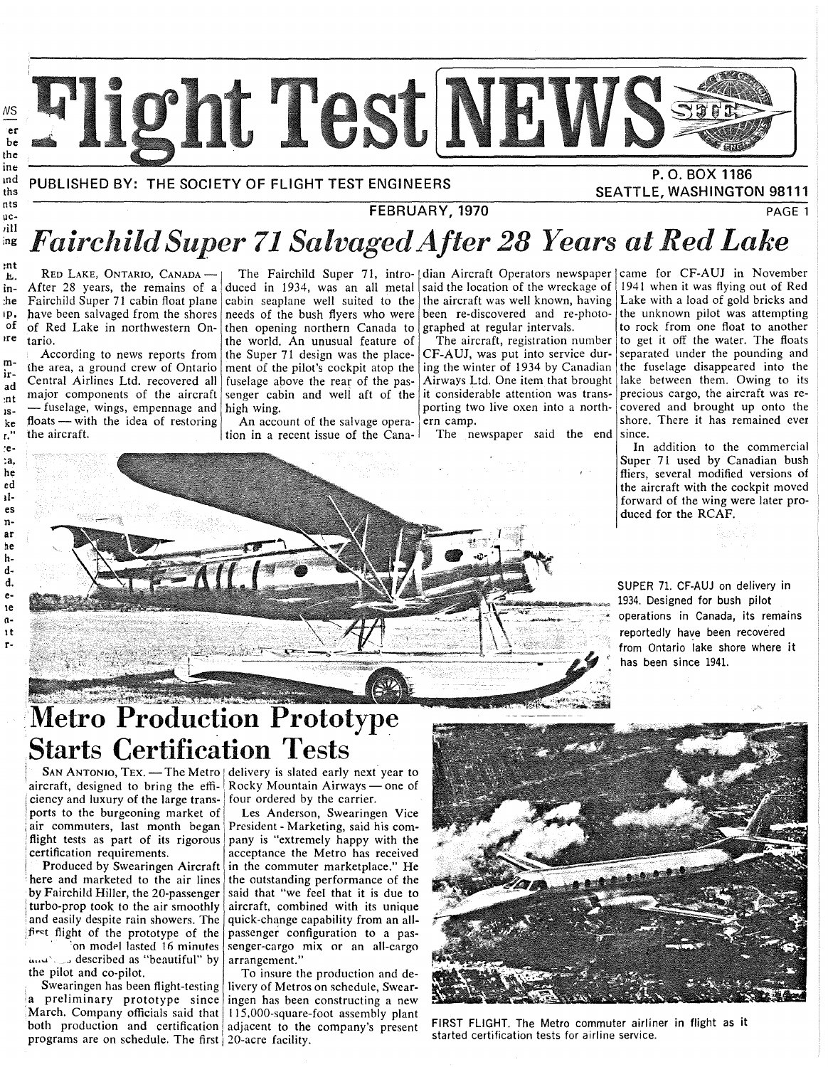

md ths

## **FEBRUARY, 1970** PAGE **1** uc-

# Fairchild Super 71 Salvaged After 28 Years at Red Lake

RED LAKE, ONTARIO, CANADAin- After 28 years, the remains of a duced in 1934, was an all metal said the location of the wreckage of he Fairchild Super 71 cabin float plane<br>p. have been salvaged from the shores 1p. have been salvaged from the shores<br>of of Red Lake in northwestern Onof of Red Lake in northwestern Ontario.

be the inc

nt<mark>s</mark><br>nc-

ill<br>ng

:nt

:e- **:a,**  he ed lies nar ne hdd. ele n-It r-

m-<br>ir-<br>ir-<br>ad Central Airlines Ltd. recovered all  $\frac{a}{n}$  major components of the aircraft  $\frac{1}{15}$  - fuselage, wings, empennage and high wing.  $k_e$  floats — with the idea of restoring the aircraft. the area, a ground crew of Ontario ment of the pilot's cockpit atop the ing the winter of 1934 by Canadian

According to news reports from the Super 71 design was the place-  $\mathsf{CF}\text{-}\mathsf{A}\mathsf{U}$ , was put into service durcabin seaplane well suited to the the aircraft was well known, having needs of the bush flyers who were been re-discovered and re-photoneeds of the bush flyers who were then opening northern Canada to graphed at regular intervals.<br>the world. An unusual feature of The aircraft, registration number the world. An unusual feature of The aircraft, registration number<br>the Super 71 design was the place-CF-AUJ, was put into service durfuselage above the rear of the passenger cabin and well aft of the it considerable attention was trans-

> An account of the salvage operation in a recent issue of the Cana-

porting two live oxen into a north-<br>ern camp.

The newspaper said the end since.

The Fairchild Super 71, intro- dian Aircraft Operators newspaper came for CF-AUJ in November 1941 when it was flying out of Red Lake with a load of gold bricks and the unknown pilot was attempting to rock from one float to another to get it off the water. The floats separated under the pounding and the fuselage disappeared into the Airways Ltd. One item that brought lake between them. Owing to its precious cargo, the aircraft was recovered and brought up onto the shore. There it has remained ever

**SEATTLE, WASHINGTON 98111** 

In addition to the commercial Super 71 used by Canadian bush fliers, several modified versions of the aircraft with the cockpit moved forward of the wing were later produced for the RCAF.

SUPER 71. CF-AUJ on delivery in 1934. Designed for bush pilot • operations in Canada, its remains reportedly have been recovered from Ontario lake shore where it has been since 1941.

# **Metro** Produc~ion **Prototype Starts Certification Tests**

aircraft, designed to bring the efficiency and luxury of the large transports to the burgeoning market of air commuters, last month began flight tests as part of its rigorous certification requirements.

Produced by Swearingen Aircraft here and marketed to the air lines by Fairchild Hiller, the 20-passenger turbo-prop took to the air smoothly and easily despite rain showers. The ;fir~t flight of the prototype of the on model lasted 16 minutes

....... .J described as "beautiful" by the pilot and co-pilot.

Swearingen has been flight-testing programs are on schedule. The first 20-acre facility.

SAN ANTONIO, TEX. — The Metro | delivery is slated early next year to Rocky Mountain Airways — one of four ordered by the carrier.

> Les Anderson, Swearingen Vice President- Marketing, said his company is "extremely happy with the acceptance the Metro has received in the commuter marketplace." He the outstanding performance of the said that "we feel that it is due to aircraft, combined with its unique quick-change capability from an allpassenger configuration to a passenger-cargo mix or an all-cargo arrangement."

a preliminary prototype since ingen has been constructing a new March. Company officials said that 115,000-square-foot assembly plant both production and certification adjacent to the company's present To insure the production and delivery of Metros on schedule, Swear-



FIRST FLIGHT. The Metro commuter airliner in flight as it started certification tests for airline service.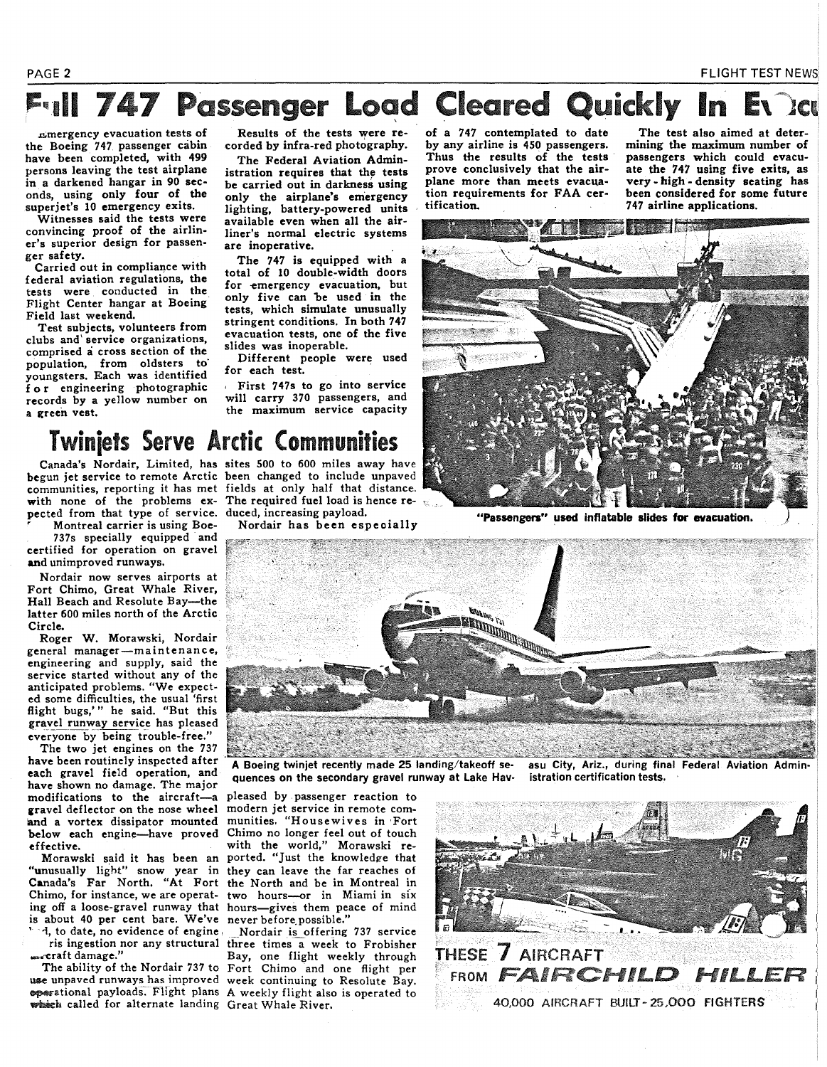## **747 Passenger Load Cleared Quickly** In

.c;mergency evacuation tests of the Boeing 747. passenger cabin have been completed, with 499 persons leaving the test airplane in a darkened hangar in 90 seconds, using only four of the superiet's 10 emergency exits.

Witnesses said the tests were convincing proof of the airliner's superior design for passenger safety.

Carried out in compliance with federal aviation regulations, the tests were conducted in the Flight Center hangar at Boeing Field last weekend.

Test subjects, volunteers from clubs and' service organizations, comprised a cross section of the population, from oldsters to· youngsters. Each was identified for engineering photographic records by a yellow number on a green vest.

Results of the tests were recorded by infra-red photography.

The Federal Aviation Administration requires that the tests be carried out in darkness using only the airplane's emergency lighting, battery-powered units available even when all the airliner's normal electric systems are inoperative.

The 747 is equipped with a total of 10 double-width doors for emergency evacuation, but only five can be used in the tests, which simulate unusually stringent conditions. In both 747 evacuation tests, one of the five slides was inoperable.

Different people were used for each test.

, First 747s to go into service will carry 370 passengers, and the maximum service capacity of a 747 contemplated to date by any airline is 450 passengers. Thus the results of the tests prove conclusively that the airplane more than meets evacuation requirements for FAA certification.

The test also aimed at determining the maximum number of passengers which could evacuate the 747 using five exits, as very- high- density seating has been considered for some future 747 airline applications.



"Passengers" used inflatable slides for evacuation.



pected from that type of service. duced, increasing payload. Montreal carrier is using Boe-

737s specially equipped and certified for operation on gravel and unimproved runways.

Nordair now serves airports at Fort Chimo, Great Whale River, Hall Beach and Resolute Bay-the latter 600 miles north of the Arctic Circle.

Roger W. Morawski, Nordair general manager-maintenance, engineering and supply, said the service started without any of the anticipated problems. "We expected some difficulties, the usual 'first flight bugs,'" he said. "But this gravel runway service has pleased everyone by being trouble-free."

The two jet engines on the 737 have been routinely inspected after each gravel field operation, and have shown no damage. The major modifications to the aircraft-a pleased by passenger reaction to gravel deflector on the nose wheel modern jet service in remote comgravel deflector on the nose wheel modern jet service in remote com-<br>and a vortex dissipator mounted munities. "Housewives in Fort and a vortex dissipator mounted<br>below each engine-have proved below each engine-have proved Chimo no longer feel out of touch<br>effective. with the world," Morawski re-

"unusually light" snow year in they can leave the far reaches of Canada's Far North. "At Fort the North and be in Montreal in Chimo, for instance, we are operat- two hours-or in Miami in six ing off a loose-gravel runway that hours-gives them peace of mind is about 40 per cent bare. We've never before possible."<br>"I, to date, no evidence of engine. Nordair is offering.

Canada's Nordair, Limited, has sites 500 to 600 miles away have begun jet service to remote Arctic been changed to include unpaved communities, reporting it has met fields at only half that distance. with none of the problems ex-The required fuel load is hence re-

Nordair has been especially



A Boeing twinjet recently made 25 landing/takeoff sequences on the secondary gravel runway at Lake Hav-

with the world," Morawski re-Morawski said it has been an ported. "Just the knowledge that two hours---or in Miami in six

Nordair is offering 737 service ris ingestion nor any structural three times a week to Frobisher<br>Eay, one flight weekly through Bay, one flight weekly through The ability of the Nordair 737 to Fort Chimo and one flight per use unpaved runways has improved week continuing to Resolute Bay. ~ational payloads. F1ight plans A weekly flight also is operated to



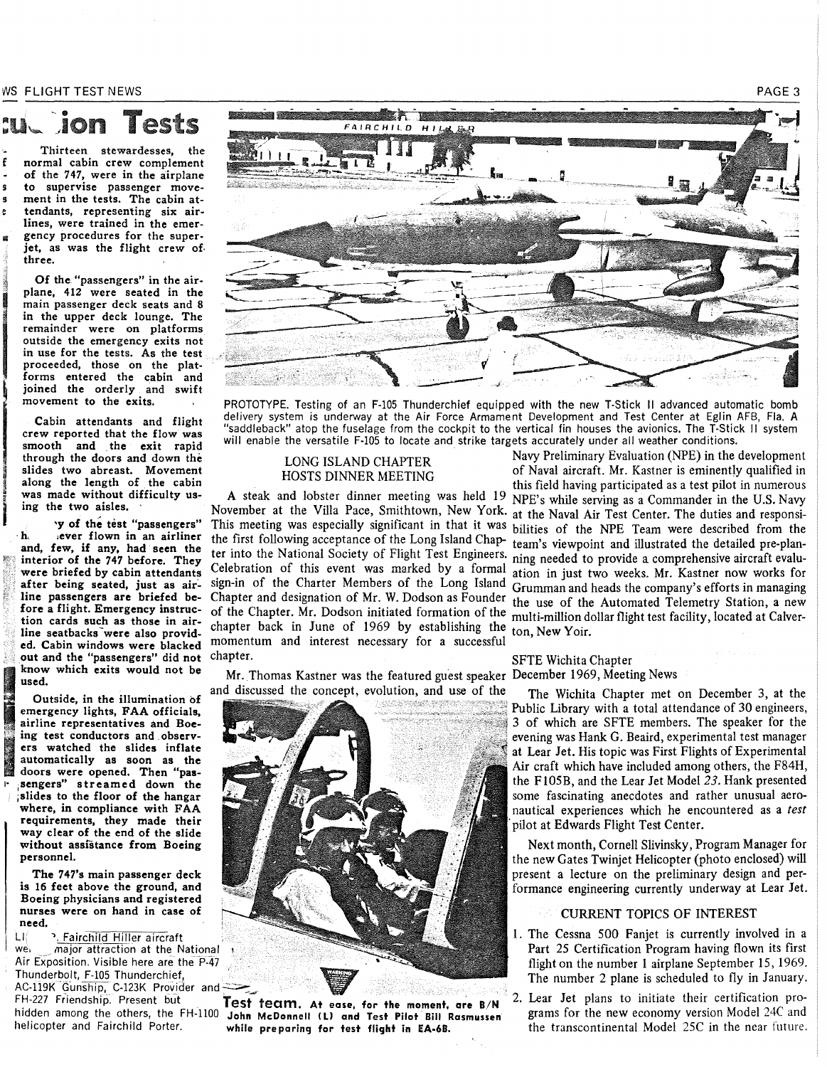WS FLIGHT TEST NEWS

Tests

Thirteen stewardesses, the normal cabin crew complement of the 747, were in the airplane to supervise passenger movement in the tests. The cabin ate tendants, representing six airlines, were trained in the emergency procedures for the superjet, as was the flight crew of. three.

Of the. "passengers" in the airplane, 412 were seated in the main passenger deck seats and 8 in the upper deck lounge. The remainder were on platforms outside the emergency exits not in use for the tests. As the test proceeded, those on the platforms entered the cabin and joined the orderly and swift movement to the exits.

Fragment<br>
Integrals on<br>
Integrals of the same<br>
Integrals of the same<br>
Integrals of the same<br>
Integrals of the same<br>
Integrals of the same<br>
Integrals of the same<br>
Integrals of the same<br>
Integrals of the same<br>
Integrals of t i<br>india<br>i Cabin attendants and flight crew reported that the flow was smooth and the exit rapid through the doors and down the slides two abreast. Movement along the length of the cabin was made without difficulty using the two aisles.

I ll

'Y of the test "passengers" ·h. .ever flown in an airliner and, few, if any, had seen the interior of the 747 before. They were briefed by cabin attendants after being seated, just as airline passengers are briefed before a flight. Emergency instruction cards such as those in airline seatbacks were also provided. Cabin windows were blacked out and the "passengers" did not<br>know which exits would not be used.

I know which exits would not be<br>used.<br>Outside, in the illumination of<br>emergency lights, FAA officials,<br>airline representatives and Boe-<br>ing test conductors and observ-<br>ers watched the slides inflate. Outside, in the illumination of emergency lights, FAA officials, airline representatives and Boeing<br>
er:<br>
au<br>
do<br>
se: The Unitside, in the Illumination of<br>
emergency lights, FAA officials,<br>
airline representatives and Boe-<br>
ing test conductors and observers watched the slides inflate automatically as soon as the doors were opened. Then "passengers" streamed down the slides to the floor of the hangar where, in compliance with FAA requirements, they made their way clear of the end of the slide without assistance from Boeing personnel.

The 747's main passenger deck is 16 feet above the ground, and Boeing physicians and registered nurses were on hand in case of need.

LI <sup>3</sup>. Fairchild Hiller aircraft<br>we major attraction at the N major attraction at the National Air Exposition. Visible here are the P-47 Thunderbolt, F-105 Thunderchief, The number 2 plane is scheduled to fly in January.<br>
AC-119K Gunship, C-123K Provider and<br>
FH-227 Friendship. Present but<br>
FH-227 Friendship. Present but<br>
Test fecam. At ease, for the moment, are B/N<br>
and Test Pilot Bill Ra



PROTOTYPE. Testing of an F-105 Thunderchief equipped with the new T-Stick II advanced automatic bomb delivery system is underway at the Air Force Armament Development and Test Center at Eglin AFB, Fla. A "saddleback" atop the fuselage from the cockpit to the vertical fin houses the avionics. The T-Stick II system will enable the versatile F-105 to locate and strike targets accurately under all weather conditions.

### LONG ISLAND CHAPTER HOSTS DINNER MEETING

chapter back in June of 1969 by establishing the ton, New Yoir. momentum and interest necessary for a successful chapter. SFTE Wichita Chapter

Mr. Thomas Kastner was the featured guest speaker December 1969, Meeting News and discussed the concept, evolution, and use of the The Wichita Chapter met on December 3, at the



hidden among the others, the FH-1100 John McDonnell (1) and Test Pilot Bill Rasmussen grams for the new economy version Model 24C and Test Pilot Bill Rasmussen grams for the new economy version Model 24C and the incorporat

Navy Preliminary Evaluation (NPE) in the development of Naval aircraft. Mr. Kastner is eminently qualified in this field having participated as a test pilot in numerous A steak and lobster dinner meeting was held 19 NPE's while serving as a Commander in the U.S. Navy<br>November at the Villa Pace, Smithtown, New York, at the Naval Air Test Center. The duties and reponsi-November at the Villa Pace, Smithtown, New York. at the Naval Air Test Center. The duties and responsi-<br>This meeting was especially significant in that it was bilities of the NPF Team were described from the This meeting was especially significant in that it was bilities of the NPE Team were described from the the first following acceptance of the Long Island Chap-<br>team's via property and illustrated the detailed pre-planthe first following acceptance of the Long Island Chap- team's viewpoint and illustrated the detailed pre-plan-<br>ter into the National Society of Flight Test Engineers, ning peeded to provide a comprehensive aircraft evaluter into the National Society of Flight Test Engineers. <sub>ning needed to provide a comprehensive aircraft evalu-<br>Celebration of this event was marked by a formal ation in just two weeks. Mr. Kastner now works for</sub> Celebration of this event was marked by a formal ation in just two weeks. Mr. Kastner now works for<br>sign-in of the Charter Members of the Long Island Crumman and beads the company's efforts in managing sign-in of the Charter Members of the Long Island Grumman and heads the company's efforts in managing<br>Chapter and designation of Mr. W. Dodson as Founder the use of the Automated Telemetry Station, a new Chapter and designation of Mr. W. Dodson as Founder the use of the Automated Telemetry Station, a new multi-million dollar flight test facility, located at Calver-

Public Library with a total attendance of 30 engineers, 3 of which are SFTE members. The speaker for the evening was Hank G. Beaird, experimental test manager at Lear Jet. His topic was First Flights of Experimental Air craft which have included among others, the F84H, the F105B, and the Lear Jet Model 23. Hank presented some fascinating anecdotes and rather unusual aeronautical experiences which he encountered as a *test*  pilot at Edwards Flight Test Center.

Next month, Cornell Slivinsky, Program Manager for the new Gates Twinjet Helicopter (photo enclosed) will present a lecture on the preliminary design and performance engineering currently underway at Lear Jet.

### CURRENT TOPICS OF INTEREST

- I. The Cessna 500 Fanjet is currently involved in a Part 25 Certification Program having flown its first flight on the number 1 airplane September IS, 1969.
- while preparing for test flight in EA-6B. the transcontinental Model 25C in the near future.